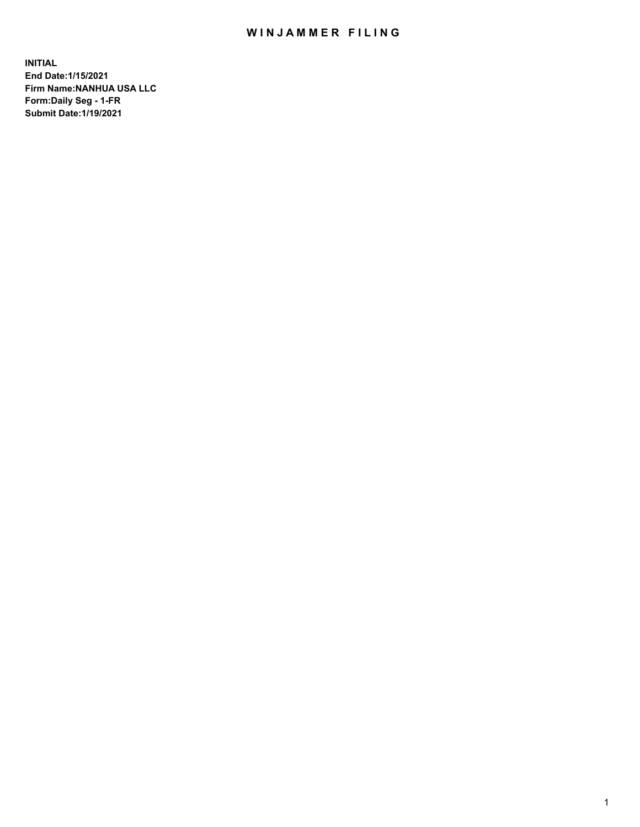## WIN JAMMER FILING

**INITIAL End Date:1/15/2021 Firm Name:NANHUA USA LLC Form:Daily Seg - 1-FR Submit Date:1/19/2021**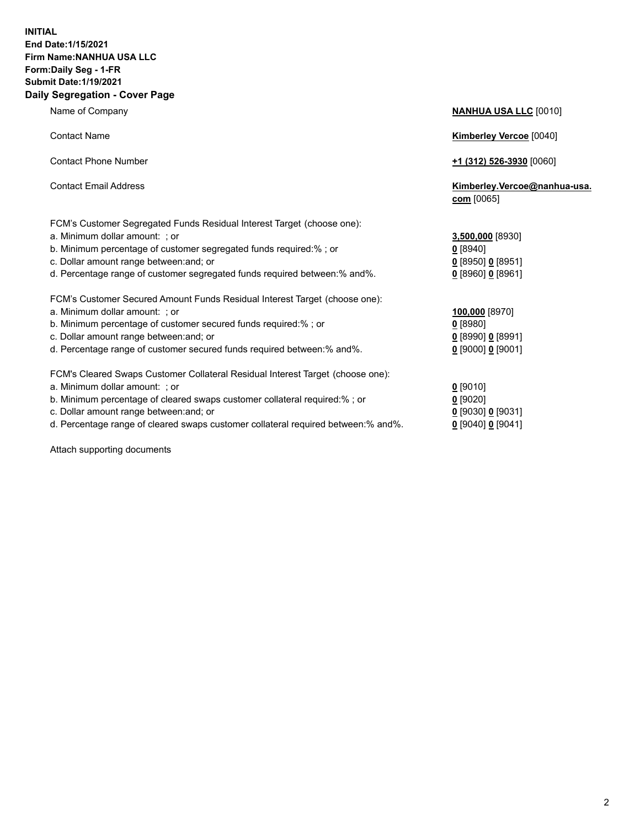## **INITIAL End Date:1/15/2021 Firm Name:NANHUA USA LLC Form:Daily Seg - 1-FR Submit Date:1/19/2021 Daily Segregation - Cover Page**

Name of Company **NANHUA USA LLC** [0010] Contact Name **Kimberley Vercoe** [0040] Contact Phone Number **+1 (312) 526-3930** [0060] Contact Email Address **Kimberley.Vercoe@nanhua-usa. com** [0065] FCM's Customer Segregated Funds Residual Interest Target (choose one): a. Minimum dollar amount: ; or **3,500,000** [8930] b. Minimum percentage of customer segregated funds required:% ; or **0** [8940] c. Dollar amount range between:and; or **0** [8950] **0** [8951] d. Percentage range of customer segregated funds required between:% and%. **0** [8960] **0** [8961] FCM's Customer Secured Amount Funds Residual Interest Target (choose one): a. Minimum dollar amount: ; or **100,000** [8970] b. Minimum percentage of customer secured funds required:% ; or **0** [8980] c. Dollar amount range between:and; or **0** [8990] **0** [8991] d. Percentage range of customer secured funds required between:% and%. **0** [9000] **0** [9001] FCM's Cleared Swaps Customer Collateral Residual Interest Target (choose one): a. Minimum dollar amount: ; or **0** [9010] b. Minimum percentage of cleared swaps customer collateral required:% ; or **0** [9020] c. Dollar amount range between:and; or **0** [9030] **0** [9031]

d. Percentage range of cleared swaps customer collateral required between:% and%. **0** [9040] **0** [9041]

Attach supporting documents

| c. Dollar amount range between: and; or<br>d. Percentage range of customer segregated funds required between: % and %. | 0 [8950] 0 [8951<br>$0$ [8960] $0$ [8961 |
|------------------------------------------------------------------------------------------------------------------------|------------------------------------------|
| FCM's Customer Secured Amount Funds Residual Interest Target (choose one):                                             |                                          |
| a. Minimum dollar amount: ; or                                                                                         | 100,000 [8970]                           |
| b. Minimum percentage of customer secured funds required: % ; or                                                       | $0$ [8980]                               |
| c. Dollar amount range between: and; or                                                                                | $0$ [8990] $0$ [899 $^{\circ}$           |
| d. Percentage range of customer secured funds required between: % and %.                                               | $0$ [9000] $0$ [900                      |
| FCM's Cleared Swaps Customer Collateral Residual Interest Target (choose one):                                         |                                          |
| a. Minimum dollar amount: ; or                                                                                         | $0$ [9010]                               |
| b. Minimum percentage of cleared swaps customer collateral required:% ; or                                             | $0$ [9020]                               |
| c. Dollar amount range between: and; or                                                                                | 0 [9030] 0 [9031                         |
|                                                                                                                        |                                          |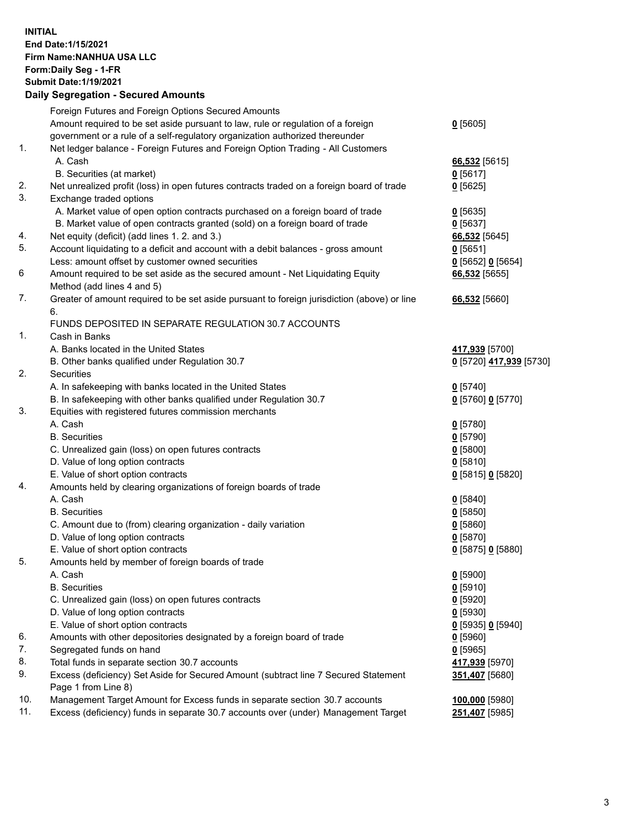## **INITIAL End Date:1/15/2021 Firm Name:NANHUA USA LLC Form:Daily Seg - 1-FR Submit Date:1/19/2021 Daily Segregation - Secured Amounts**

|     | Foreign Futures and Foreign Options Secured Amounts                                         |                         |
|-----|---------------------------------------------------------------------------------------------|-------------------------|
|     | Amount required to be set aside pursuant to law, rule or regulation of a foreign            | $0$ [5605]              |
|     | government or a rule of a self-regulatory organization authorized thereunder                |                         |
| 1.  | Net ledger balance - Foreign Futures and Foreign Option Trading - All Customers             |                         |
|     | A. Cash                                                                                     | 66,532 [5615]           |
|     | B. Securities (at market)                                                                   | $0$ [5617]              |
| 2.  | Net unrealized profit (loss) in open futures contracts traded on a foreign board of trade   | $0$ [5625]              |
| 3.  | Exchange traded options                                                                     |                         |
|     | A. Market value of open option contracts purchased on a foreign board of trade              | $0$ [5635]              |
|     | B. Market value of open contracts granted (sold) on a foreign board of trade                | $0$ [5637]              |
| 4.  | Net equity (deficit) (add lines 1. 2. and 3.)                                               | 66,532 [5645]           |
| 5.  | Account liquidating to a deficit and account with a debit balances - gross amount           | $0$ [5651]              |
|     | Less: amount offset by customer owned securities                                            | 0 [5652] 0 [5654]       |
| 6   | Amount required to be set aside as the secured amount - Net Liquidating Equity              | 66,532 [5655]           |
|     | Method (add lines 4 and 5)                                                                  |                         |
| 7.  | Greater of amount required to be set aside pursuant to foreign jurisdiction (above) or line | 66,532 [5660]           |
|     | 6.                                                                                          |                         |
|     | FUNDS DEPOSITED IN SEPARATE REGULATION 30.7 ACCOUNTS                                        |                         |
| 1.  | Cash in Banks                                                                               |                         |
|     | A. Banks located in the United States                                                       | 417,939 [5700]          |
|     | B. Other banks qualified under Regulation 30.7                                              | 0 [5720] 417,939 [5730] |
| 2.  | <b>Securities</b>                                                                           |                         |
|     | A. In safekeeping with banks located in the United States                                   | $0$ [5740]              |
|     | B. In safekeeping with other banks qualified under Regulation 30.7                          | 0 [5760] 0 [5770]       |
| 3.  | Equities with registered futures commission merchants                                       |                         |
|     | A. Cash                                                                                     | $0$ [5780]              |
|     | <b>B.</b> Securities                                                                        | $0$ [5790]              |
|     | C. Unrealized gain (loss) on open futures contracts                                         | $0$ [5800]              |
|     | D. Value of long option contracts                                                           | $0$ [5810]              |
|     | E. Value of short option contracts                                                          | 0 [5815] 0 [5820]       |
| 4.  | Amounts held by clearing organizations of foreign boards of trade                           |                         |
|     | A. Cash                                                                                     | $0$ [5840]              |
|     | <b>B.</b> Securities                                                                        | $0$ [5850]              |
|     | C. Amount due to (from) clearing organization - daily variation                             | $0$ [5860]              |
|     | D. Value of long option contracts                                                           | $0$ [5870]              |
|     | E. Value of short option contracts                                                          | 0 [5875] 0 [5880]       |
| 5.  | Amounts held by member of foreign boards of trade                                           |                         |
|     | A. Cash                                                                                     | $0$ [5900]              |
|     | <b>B.</b> Securities                                                                        | $0$ [5910]              |
|     | C. Unrealized gain (loss) on open futures contracts                                         | $0$ [5920]              |
|     | D. Value of long option contracts                                                           | $0$ [5930]              |
|     | E. Value of short option contracts                                                          | 0 [5935] 0 [5940]       |
| 6.  | Amounts with other depositories designated by a foreign board of trade                      | $0$ [5960]              |
| 7.  | Segregated funds on hand                                                                    | $0$ [5965]              |
| 8.  | Total funds in separate section 30.7 accounts                                               | 417,939 [5970]          |
| 9.  | Excess (deficiency) Set Aside for Secured Amount (subtract line 7 Secured Statement         | 351,407 [5680]          |
|     | Page 1 from Line 8)                                                                         |                         |
| 10. | Management Target Amount for Excess funds in separate section 30.7 accounts                 | 100,000 [5980]          |
| 11. | Excess (deficiency) funds in separate 30.7 accounts over (under) Management Target          | 251,407 [5985]          |
|     |                                                                                             |                         |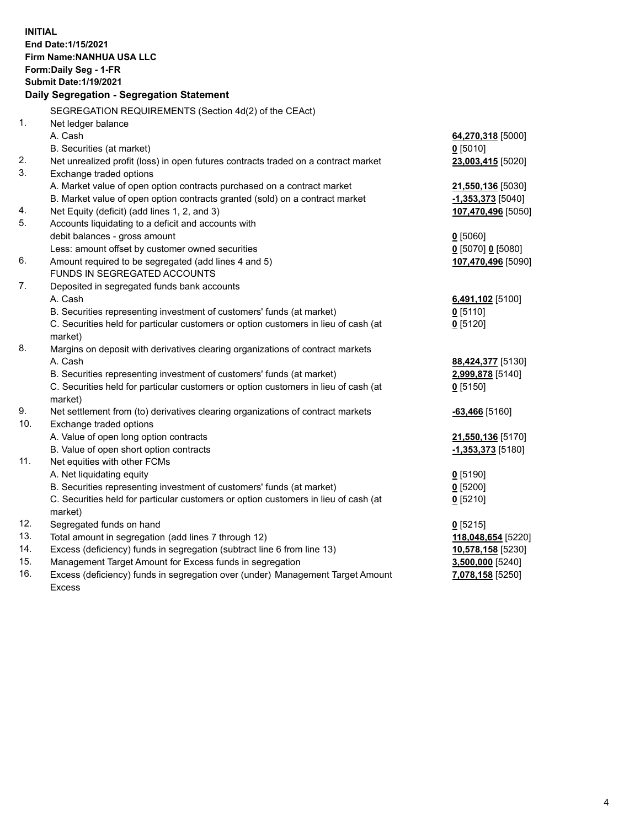| <b>INITIAL</b> | End Date: 1/15/2021<br>Firm Name: NANHUA USA LLC<br>Form: Daily Seg - 1-FR<br><b>Submit Date: 1/19/2021</b><br>Daily Segregation - Segregation Statement |                                               |
|----------------|----------------------------------------------------------------------------------------------------------------------------------------------------------|-----------------------------------------------|
|                | SEGREGATION REQUIREMENTS (Section 4d(2) of the CEAct)                                                                                                    |                                               |
| 1.             | Net ledger balance                                                                                                                                       |                                               |
|                | A. Cash                                                                                                                                                  | 64,270,318 [5000]                             |
| 2.             | B. Securities (at market)                                                                                                                                | $0$ [5010]                                    |
| 3.             | Net unrealized profit (loss) in open futures contracts traded on a contract market<br>Exchange traded options                                            | 23,003,415 [5020]                             |
|                | A. Market value of open option contracts purchased on a contract market                                                                                  | 21,550,136 [5030]                             |
|                | B. Market value of open option contracts granted (sold) on a contract market                                                                             | <u>-1,353,373</u> [5040]                      |
| 4.             | Net Equity (deficit) (add lines 1, 2, and 3)                                                                                                             | 107,470,496 [5050]                            |
| 5.             | Accounts liquidating to a deficit and accounts with                                                                                                      |                                               |
|                | debit balances - gross amount                                                                                                                            | $0$ [5060]                                    |
|                | Less: amount offset by customer owned securities                                                                                                         | $0$ [5070] 0 [5080]                           |
| 6.             | Amount required to be segregated (add lines 4 and 5)                                                                                                     | 107,470,496 [5090]                            |
|                | FUNDS IN SEGREGATED ACCOUNTS                                                                                                                             |                                               |
| 7.             | Deposited in segregated funds bank accounts                                                                                                              |                                               |
|                | A. Cash                                                                                                                                                  | 6,491,102 [5100]                              |
|                | B. Securities representing investment of customers' funds (at market)                                                                                    | $0$ [5110]                                    |
|                | C. Securities held for particular customers or option customers in lieu of cash (at                                                                      | $0$ [5120]                                    |
|                | market)                                                                                                                                                  |                                               |
| 8.             | Margins on deposit with derivatives clearing organizations of contract markets                                                                           |                                               |
|                | A. Cash                                                                                                                                                  | 88,424,377 [5130]                             |
|                | B. Securities representing investment of customers' funds (at market)                                                                                    | 2,999,878 [5140]                              |
|                | C. Securities held for particular customers or option customers in lieu of cash (at                                                                      | $0$ [5150]                                    |
|                | market)                                                                                                                                                  |                                               |
| 9.<br>10.      | Net settlement from (to) derivatives clearing organizations of contract markets                                                                          | $-63,466$ [5160]                              |
|                | Exchange traded options<br>A. Value of open long option contracts                                                                                        |                                               |
|                | B. Value of open short option contracts                                                                                                                  | 21,550,136 [5170]<br><u>-1,353,373</u> [5180] |
| 11.            | Net equities with other FCMs                                                                                                                             |                                               |
|                | A. Net liquidating equity                                                                                                                                | $0$ [5190]                                    |
|                | B. Securities representing investment of customers' funds (at market)                                                                                    | $0$ [5200]                                    |
|                | C. Securities held for particular customers or option customers in lieu of cash (at                                                                      | $0$ [5210]                                    |
|                | market)                                                                                                                                                  |                                               |
| 12.            | Segregated funds on hand                                                                                                                                 | $0$ [5215]                                    |
| 13.            | Total amount in segregation (add lines 7 through 12)                                                                                                     | 118,048,654 [5220]                            |
| 14.            | Excess (deficiency) funds in segregation (subtract line 6 from line 13)                                                                                  | 10,578,158 [5230]                             |
| 15.            | Management Target Amount for Excess funds in segregation                                                                                                 | 3,500,000 [5240]                              |
| 16.            | Excess (deficiency) funds in segregation over (under) Management Target Amount                                                                           | 7,078,158 [5250]                              |
|                | <b>Excess</b>                                                                                                                                            |                                               |